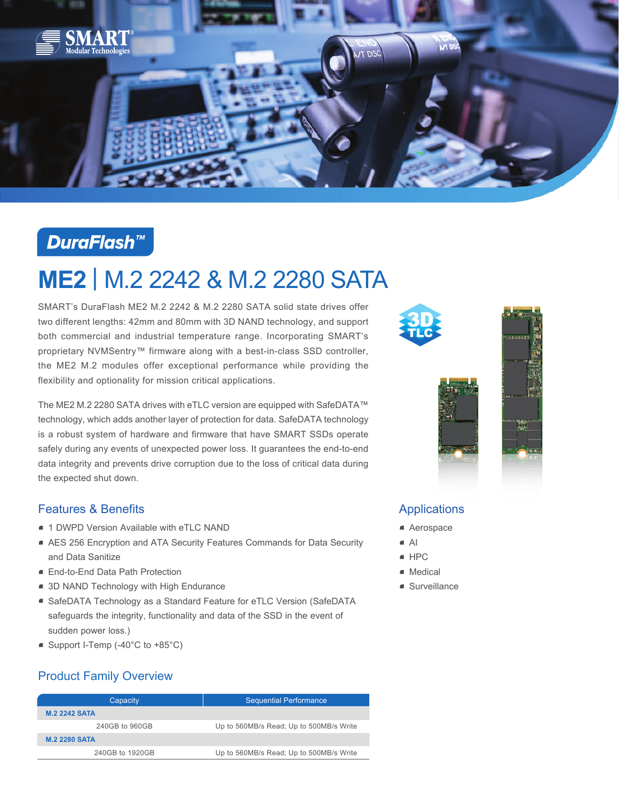

# **DuraFlash™**

# **ME2** | M.2 2242 & M.2 2280 SATA

SMART's DuraFlash ME2 M.2 2242 & M.2 2280 SATA solid state drives offer two different lengths: 42mm and 80mm with 3D NAND technology, and support both commercial and industrial temperature range. Incorporating SMART's proprietary NVMSentry™ firmware along with a best-in-class SSD controller, the ME2 M.2 modules offer exceptional performance while providing the flexibility and optionality for mission critical applications.

The ME2 M.2 2280 SATA drives with eTLC version are equipped with SafeDATA™ technology, which adds another layer of protection for data. SafeDATA technology is a robust system of hardware and firmware that have SMART SSDs operate safely during any events of unexpected power loss. It guarantees the end-to-end data integrity and prevents drive corruption due to the loss of critical data during the expected shut down.

### Features & Benefits

- 1 DWPD Version Available with eTLC NAND
- AES 256 Encryption and ATA Security Features Commands for Data Security and Data Sanitize
- End-to-End Data Path Protection
- 3D NAND Technology with High Endurance
- SafeDATA Technology as a Standard Feature for eTLC Version (SafeDATA safeguards the integrity, functionality and data of the SSD in the event of sudden power loss.)
- Support I-Temp (-40°C to +85°C)

## Product Family Overview

| Capacity             | <b>Sequential Performance</b>           |  |
|----------------------|-----------------------------------------|--|
| <b>M.2 2242 SATA</b> |                                         |  |
| 240GB to 960GB       | Up to 560MB/s Read; Up to 500MB/s Write |  |
| <b>M.2 2280 SATA</b> |                                         |  |
| 240GB to 1920GB      | Up to 560MB/s Read; Up to 500MB/s Write |  |





## Applications

- Aerospace
- $\blacksquare$  AI
- HPC
- Medical
- Surveillance